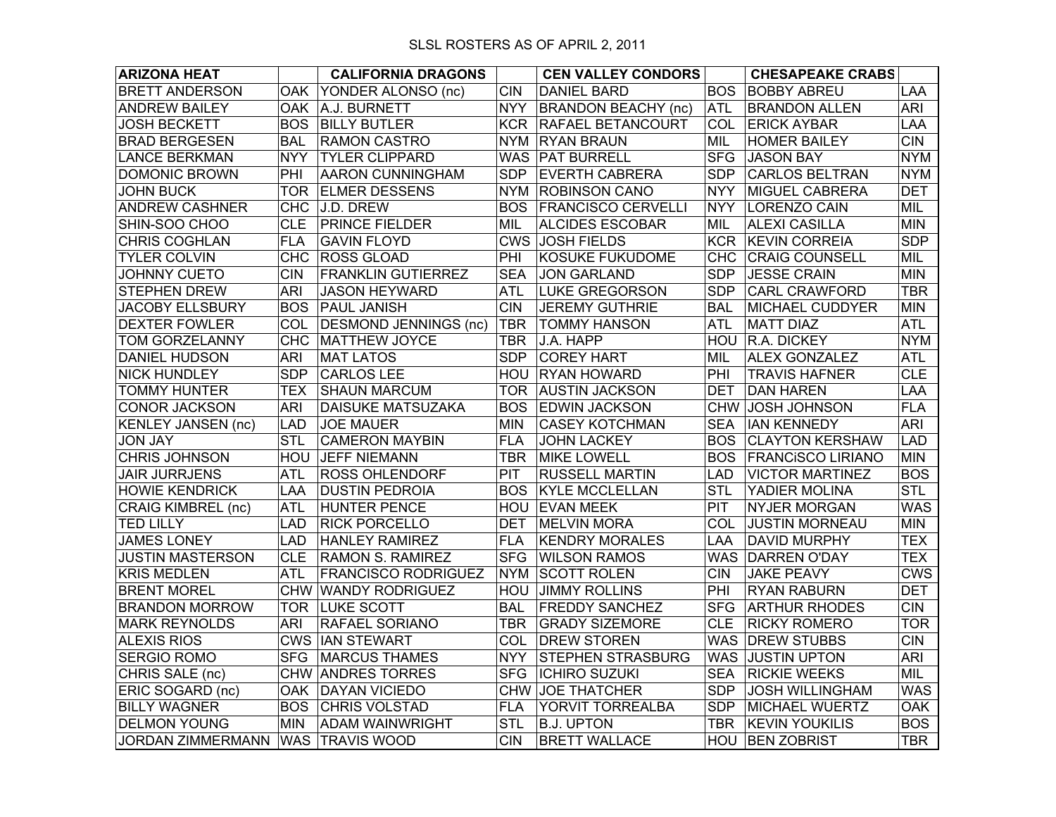| <b>ARIZONA HEAT</b>               |            | <b>CALIFORNIA DRAGONS</b>    |            | <b>CEN VALLEY CONDORS</b>     |            | <b>CHESAPEAKE CRABS</b>  |                  |
|-----------------------------------|------------|------------------------------|------------|-------------------------------|------------|--------------------------|------------------|
| <b>BRETT ANDERSON</b>             | OAK.       | YONDER ALONSO (nc)           | <b>CIN</b> | <b>DANIEL BARD</b>            | <b>BOS</b> | <b>BOBBY ABREU</b>       | LAA              |
| <b>ANDREW BAILEY</b>              |            | OAK A.J. BURNETT             | <b>NYY</b> | <b>BRANDON BEACHY (nc)</b>    | <b>ATL</b> | <b>BRANDON ALLEN</b>     | <b>ARI</b>       |
| <b>JOSH BECKETT</b>               | <b>BOS</b> | <b>BILLY BUTLER</b>          | <b>KCR</b> | <b>RAFAEL BETANCOURT</b>      | COL        | <b>ERICK AYBAR</b>       | LAA              |
| <b>BRAD BERGESEN</b>              | <b>BAL</b> | <b>RAMON CASTRO</b>          |            | NYM RYAN BRAUN                | MIL        | <b>HOMER BAILEY</b>      | <b>CIN</b>       |
| <b>LANCE BERKMAN</b>              | <b>NYY</b> | <b>TYLER CLIPPARD</b>        |            | WAS   PAT BURRELL             | <b>SFG</b> | <b>JASON BAY</b>         | <b>NYM</b>       |
| <b>DOMONIC BROWN</b>              | PHI        | <b>AARON CUNNINGHAM</b>      | <b>SDP</b> | <b>EVERTH CABRERA</b>         | <b>SDP</b> | <b>CARLOS BELTRAN</b>    | <b>NYM</b>       |
| <b>JOHN BUCK</b>                  | <b>TOR</b> | <b>ELMER DESSENS</b>         |            | <b>NYM ROBINSON CANO</b>      | <b>NYY</b> | <b>MIGUEL CABRERA</b>    | <b>DET</b>       |
| <b>ANDREW CASHNER</b>             |            | CHC J.D. DREW                |            | <b>BOS FRANCISCO CERVELLI</b> | <b>NYY</b> | LORENZO CAIN             | MIL              |
| SHIN-SOO CHOO                     | <b>CLE</b> | <b>PRINCE FIELDER</b>        | MIL        | <b>ALCIDES ESCOBAR</b>        | MIL        | <b>ALEXI CASILLA</b>     | <b>MIN</b>       |
| CHRIS COGHLAN                     | <b>FLA</b> | <b>GAVIN FLOYD</b>           |            | CWS JOSH FIELDS               | <b>KCR</b> | <b>KEVIN CORREIA</b>     | <b>SDP</b>       |
| <b>TYLER COLVIN</b>               | <b>CHC</b> | <b>ROSS GLOAD</b>            | PHI        | <b>KOSUKE FUKUDOME</b>        | <b>CHC</b> | <b>CRAIG COUNSELL</b>    | MIL              |
| <b>JOHNNY CUETO</b>               | <b>CIN</b> | <b>FRANKLIN GUTIERREZ</b>    | <b>SEA</b> | <b>JON GARLAND</b>            | <b>SDP</b> | <b>JESSE CRAIN</b>       | <b>MIN</b>       |
| <b>STEPHEN DREW</b>               | <b>ARI</b> | <b>JASON HEYWARD</b>         | ATL        | <b>LUKE GREGORSON</b>         | <b>SDP</b> | <b>CARL CRAWFORD</b>     | <b>TBR</b>       |
| <b>JACOBY ELLSBURY</b>            | <b>BOS</b> | <b>PAUL JANISH</b>           | <b>CIN</b> | <b>JEREMY GUTHRIE</b>         | <b>BAL</b> | <b>MICHAEL CUDDYER</b>   | <b>MIN</b>       |
| <b>DEXTER FOWLER</b>              | COL        | <b>DESMOND JENNINGS (nc)</b> | <b>TBR</b> | <b>TOMMY HANSON</b>           | ATL        | <b>MATT DIAZ</b>         | <b>ATL</b>       |
| TOM GORZELANNY                    | <b>CHC</b> | MATTHEW JOYCE                | <b>TBR</b> | J.A. HAPP                     | HOU        | <b>R.A. DICKEY</b>       | <b>NYM</b>       |
| <b>DANIEL HUDSON</b>              | <b>ARI</b> | <b>MAT LATOS</b>             | <b>SDP</b> | <b>COREY HART</b>             | MIL        | <b>ALEX GONZALEZ</b>     | <b>ATL</b>       |
| <b>NICK HUNDLEY</b>               | <b>SDP</b> | <b>CARLOS LEE</b>            |            | <b>HOU RYAN HOWARD</b>        | PHI        | <b>TRAVIS HAFNER</b>     | <b>CLE</b>       |
| <b>TOMMY HUNTER</b>               | <b>TEX</b> | <b>SHAUN MARCUM</b>          |            | TOR AUSTIN JACKSON            | DET        | <b>DAN HAREN</b>         | <b>LAA</b>       |
| <b>CONOR JACKSON</b>              | <b>ARI</b> | DAISUKE MATSUZAKA            | <b>BOS</b> | <b>EDWIN JACKSON</b>          |            | CHW JOSH JOHNSON         | <b>FLA</b>       |
| <b>KENLEY JANSEN (nc)</b>         | LAD        | <b>JOE MAUER</b>             | MIN        | <b>CASEY KOTCHMAN</b>         | <b>SEA</b> | <b>IAN KENNEDY</b>       | <b>ARI</b>       |
| <b>JON JAY</b>                    | <b>STL</b> | <b>CAMERON MAYBIN</b>        | <b>FLA</b> | <b>JOHN LACKEY</b>            | <b>BOS</b> | <b>CLAYTON KERSHAW</b>   | <b>LAD</b>       |
| <b>CHRIS JOHNSON</b>              | HOU        | <b>JEFF NIEMANN</b>          | TBR        | <b>MIKE LOWELL</b>            | <b>BOS</b> | <b>FRANCISCO LIRIANO</b> | <b>MIN</b>       |
| <b>JAIR JURRJENS</b>              | <b>ATL</b> | <b>ROSS OHLENDORF</b>        | <b>PIT</b> | <b>RUSSELL MARTIN</b>         | LAD        | <b>VICTOR MARTINEZ</b>   | <b>BOS</b>       |
| <b>HOWIE KENDRICK</b>             | LAA        | <b>DUSTIN PEDROIA</b>        | <b>BOS</b> | <b>KYLE MCCLELLAN</b>         | <b>STL</b> | YADIER MOLINA            | <b>STL</b>       |
| <b>CRAIG KIMBREL (nc)</b>         | <b>ATL</b> | <b>HUNTER PENCE</b>          |            | HOU EVAN MEEK                 | <b>PIT</b> | <b>NYJER MORGAN</b>      | <b>WAS</b>       |
| <b>TED LILLY</b>                  | <b>LAD</b> | <b>RICK PORCELLO</b>         | <b>DET</b> | <b>MELVIN MORA</b>            | COL        | <b>JUSTIN MORNEAU</b>    | <b>MIN</b>       |
| <b>JAMES LONEY</b>                | <b>LAD</b> | <b>HANLEY RAMIREZ</b>        | <b>FLA</b> | <b>KENDRY MORALES</b>         | LAA        | <b>DAVID MURPHY</b>      | <b>TEX</b>       |
| <b>JUSTIN MASTERSON</b>           | <b>CLE</b> | <b>RAMON S. RAMIREZ</b>      | <b>SFG</b> | <b>WILSON RAMOS</b>           |            | WAS DARREN O'DAY         | <b>TEX</b>       |
| <b>KRIS MEDLEN</b>                | <b>ATL</b> | <b>FRANCISCO RODRIGUEZ</b>   | <b>NYM</b> | <b>SCOTT ROLEN</b>            | <b>CIN</b> | <b>JAKE PEAVY</b>        | $\overline{C}WS$ |
| <b>BRENT MOREL</b>                |            | <b>CHW WANDY RODRIGUEZ</b>   | <b>HOU</b> | <b>JIMMY ROLLINS</b>          | PHI        | <b>RYAN RABURN</b>       | <b>DET</b>       |
| <b>BRANDON MORROW</b>             |            | <b>TOR LUKE SCOTT</b>        | <b>BAL</b> | <b>FREDDY SANCHEZ</b>         | <b>SFG</b> | <b>ARTHUR RHODES</b>     | <b>CIN</b>       |
| <b>MARK REYNOLDS</b>              | <b>ARI</b> | <b>RAFAEL SORIANO</b>        | <b>TBR</b> | <b>GRADY SIZEMORE</b>         | <b>CLE</b> | <b>RICKY ROMERO</b>      | <b>TOR</b>       |
| <b>ALEXIS RIOS</b>                |            | <b>CWS IAN STEWART</b>       | COL        | <b>DREW STOREN</b>            |            | WAS <b>DREW STUBBS</b>   | <b>CIN</b>       |
| <b>SERGIO ROMO</b>                | <b>SFG</b> | <b>MARCUS THAMES</b>         | NYY .      | <b>STEPHEN STRASBURG</b>      | WAS        | <b>JUSTIN UPTON</b>      | <b>ARI</b>       |
| CHRIS SALE (nc)                   |            | <b>CHW ANDRES TORRES</b>     | <b>SFG</b> | <b>ICHIRO SUZUKI</b>          | <b>SEA</b> | <b>RICKIE WEEKS</b>      | MIL              |
| ERIC SOGARD (nc)                  |            | OAK DAYAN VICIEDO            |            | CHW JOE THATCHER              | <b>SDP</b> | <b>JOSH WILLINGHAM</b>   | <b>WAS</b>       |
| <b>BILLY WAGNER</b>               | <b>BOS</b> | <b>CHRIS VOLSTAD</b>         | <b>FLA</b> | YORVIT TORREALBA              | <b>SDP</b> | <b>MICHAEL WUERTZ</b>    | <b>OAK</b>       |
| <b>DELMON YOUNG</b>               | <b>MIN</b> | <b>ADAM WAINWRIGHT</b>       | <b>STL</b> | <b>B.J. UPTON</b>             | TBR        | <b>KEVIN YOUKILIS</b>    | <b>BOS</b>       |
| JORDAN ZIMMERMANN WAS TRAVIS WOOD |            |                              | <b>CIN</b> | <b>BRETT WALLACE</b>          |            | <b>HOU BEN ZOBRIST</b>   | <b>TBR</b>       |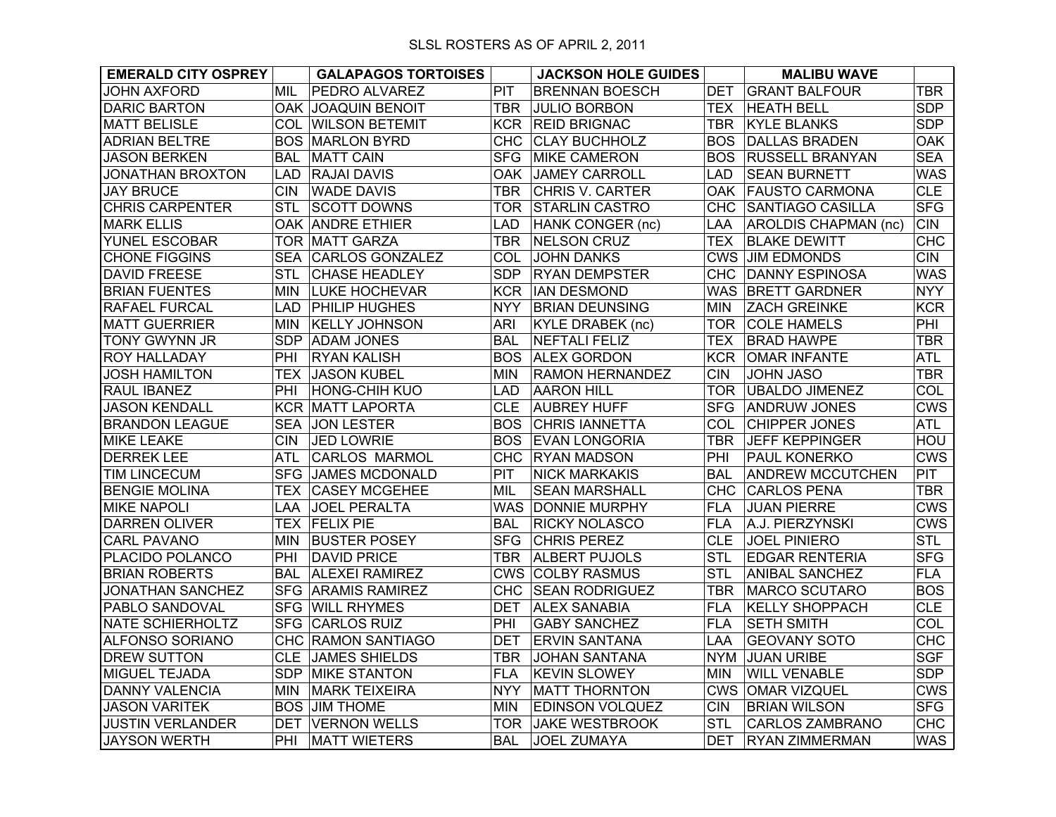| <b>EMERALD CITY OSPREY</b> |            | <b>GALAPAGOS TORTOISES</b> |            | <b>JACKSON HOLE GUIDES</b> |            | <b>MALIBU WAVE</b>          |            |
|----------------------------|------------|----------------------------|------------|----------------------------|------------|-----------------------------|------------|
| <b>JOHN AXFORD</b>         | <b>MIL</b> | <b>PEDRO ALVAREZ</b>       | PIT        | <b>BRENNAN BOESCH</b>      | <b>DET</b> | <b>GRANT BALFOUR</b>        | <b>TBR</b> |
| <b>DARIC BARTON</b>        |            | <b>OAK JOAQUIN BENOIT</b>  | <b>TBR</b> | <b>JULIO BORBON</b>        | <b>TEX</b> | <b>HEATH BELL</b>           | <b>SDP</b> |
| <b>MATT BELISLE</b>        | COL        | <b>WILSON BETEMIT</b>      | <b>KCR</b> | <b>REID BRIGNAC</b>        | <b>TBR</b> | <b>KYLE BLANKS</b>          | <b>SDP</b> |
| ADRIAN BELTRE              | BOS.       | <b>MARLON BYRD</b>         | <b>CHC</b> | <b>CLAY BUCHHOLZ</b>       | BOS.       | <b>DALLAS BRADEN</b>        | <b>OAK</b> |
| <b>JASON BERKEN</b>        | <b>BAL</b> | <b>MATT CAIN</b>           | <b>SFG</b> | <b>MIKE CAMERON</b>        | BOS.       | <b>RUSSELL BRANYAN</b>      | <b>SEA</b> |
| <b>JONATHAN BROXTON</b>    | <b>LAD</b> | <b>RAJAI DAVIS</b>         | <b>OAK</b> | <b>JAMEY CARROLL</b>       | <b>LAD</b> | <b>SEAN BURNETT</b>         | <b>WAS</b> |
| <b>JAY BRUCE</b>           | <b>CIN</b> | <b>WADE DAVIS</b>          | <b>TBR</b> | <b>CHRIS V. CARTER</b>     | OAK        | <b>FAUSTO CARMONA</b>       | <b>CLE</b> |
| <b>CHRIS CARPENTER</b>     | <b>STL</b> | <b>SCOTT DOWNS</b>         | <b>TOR</b> | <b>STARLIN CASTRO</b>      | CHC.       | SANTIAGO CASILLA            | <b>SFG</b> |
| <b>MARK ELLIS</b>          |            | <b>OAK ANDRE ETHIER</b>    | LAD        | HANK CONGER (nc)           | LAA        | <b>AROLDIS CHAPMAN (nc)</b> | <b>CIN</b> |
| YUNEL ESCOBAR              | TOR.       | <b>MATT GARZA</b>          | <b>TBR</b> | NELSON CRUZ                | <b>TEX</b> | <b>BLAKE DEWITT</b>         | <b>CHC</b> |
| <b>CHONE FIGGINS</b>       | <b>SEA</b> | <b>CARLOS GONZALEZ</b>     | COL        | <b>JOHN DANKS</b>          |            | <b>CWS JIM EDMONDS</b>      | <b>CIN</b> |
| <b>DAVID FREESE</b>        | <b>STL</b> | <b>CHASE HEADLEY</b>       | <b>SDP</b> | <b>RYAN DEMPSTER</b>       | <b>CHC</b> | <b>DANNY ESPINOSA</b>       | <b>WAS</b> |
| <b>BRIAN FUENTES</b>       | MIN.       | <b>LUKE HOCHEVAR</b>       | <b>KCR</b> | <b>IAN DESMOND</b>         | <b>WAS</b> | <b>BRETT GARDNER</b>        | <b>NYY</b> |
| <b>RAFAEL FURCAL</b>       | LAD        | <b>PHILIP HUGHES</b>       | <b>NYY</b> | <b>BRIAN DEUNSING</b>      | <b>MIN</b> | <b>ZACH GREINKE</b>         | <b>KCR</b> |
| <b>MATT GUERRIER</b>       | MIN        | <b>KELLY JOHNSON</b>       | <b>ARI</b> | <b>KYLE DRABEK (nc)</b>    | <b>TOR</b> | <b>COLE HAMELS</b>          | PHI        |
| TONY GWYNN JR              | <b>SDP</b> | <b>ADAM JONES</b>          | <b>BAL</b> | <b>NEFTALI FELIZ</b>       | <b>TEX</b> | <b>BRAD HAWPE</b>           | <b>TBR</b> |
| <b>ROY HALLADAY</b>        | PHI        | <b>RYAN KALISH</b>         | <b>BOS</b> | <b>ALEX GORDON</b>         | <b>KCR</b> | <b>OMAR INFANTE</b>         | <b>ATL</b> |
| <b>JOSH HAMILTON</b>       | <b>TEX</b> | <b>JASON KUBEL</b>         | <b>MIN</b> | <b>RAMON HERNANDEZ</b>     | <b>CIN</b> | <b>JOHN JASO</b>            | <b>TBR</b> |
| RAUL IBANEZ                | PHI        | <b>HONG-CHIH KUO</b>       | LAD        | <b>AARON HILL</b>          | <b>TOR</b> | <b>UBALDO JIMENEZ</b>       | COL        |
| <b>JASON KENDALL</b>       | <b>KCR</b> | <b>MATT LAPORTA</b>        | <b>CLE</b> | <b>AUBREY HUFF</b>         | <b>SFG</b> | <b>ANDRUW JONES</b>         | <b>CWS</b> |
| <b>BRANDON LEAGUE</b>      | <b>SEA</b> | JON LESTER                 | <b>BOS</b> | CHRIS IANNETTA             | COL        | <b>CHIPPER JONES</b>        | <b>ATL</b> |
| <b>MIKE LEAKE</b>          | CIN        | JED LOWRIE                 | <b>BOS</b> | <b>EVAN LONGORIA</b>       | <b>TBR</b> | <b>JEFF KEPPINGER</b>       | HOU        |
| <b>DERREK LEE</b>          | <b>ATL</b> | <b>CARLOS MARMOL</b>       | <b>CHC</b> | <b>RYAN MADSON</b>         | PHI        | <b>PAUL KONERKO</b>         | <b>CWS</b> |
| <b>TIM LINCECUM</b>        | <b>SFG</b> | JAMES MCDONALD             | PIT        | <b>NICK MARKAKIS</b>       | <b>BAL</b> | <b>ANDREW MCCUTCHEN</b>     | PIT        |
| <b>BENGIE MOLINA</b>       | <b>TEX</b> | <b>CASEY MCGEHEE</b>       | MIL        | <b>SEAN MARSHALL</b>       | <b>CHC</b> | <b>CARLOS PENA</b>          | <b>TBR</b> |
| <b>MIKE NAPOLI</b>         | LAA        | <b>JOEL PERALTA</b>        | <b>WAS</b> | <b>DONNIE MURPHY</b>       | <b>FLA</b> | <b>JUAN PIERRE</b>          | <b>CWS</b> |
| <b>DARREN OLIVER</b>       |            | <b>TEX FELIX PIE</b>       | <b>BAL</b> | <b>RICKY NOLASCO</b>       | <b>FLA</b> | A.J. PIERZYNSKI             | <b>CWS</b> |
| <b>CARL PAVANO</b>         | <b>MIN</b> | <b>BUSTER POSEY</b>        | <b>SFG</b> | <b>CHRIS PEREZ</b>         | <b>CLE</b> | <b>JOEL PINIERO</b>         | <b>STL</b> |
| PLACIDO POLANCO            | PHI        | <b>DAVID PRICE</b>         | <b>TBR</b> | <b>ALBERT PUJOLS</b>       | <b>STL</b> | <b>EDGAR RENTERIA</b>       | <b>SFG</b> |
| <b>BRIAN ROBERTS</b>       | BAL        | <b>ALEXEI RAMIREZ</b>      | <b>CWS</b> | <b>COLBY RASMUS</b>        | <b>STL</b> | ANIBAL SANCHEZ              | <b>FLA</b> |
| <b>JONATHAN SANCHEZ</b>    |            | <b>SFG ARAMIS RAMIREZ</b>  | CHC        | <b>SEAN RODRIGUEZ</b>      | <b>TBR</b> | <b>MARCO SCUTARO</b>        | <b>BOS</b> |
| PABLO SANDOVAL             |            | <b>SFG WILL RHYMES</b>     | <b>DET</b> | <b>ALEX SANABIA</b>        | <b>FLA</b> | <b>KELLY SHOPPACH</b>       | <b>CLE</b> |
| <b>NATE SCHIERHOLTZ</b>    | <b>SFG</b> | <b>CARLOS RUIZ</b>         | PHI        | <b>GABY SANCHEZ</b>        | <b>FLA</b> | <b>SETH SMITH</b>           | COL        |
| <b>ALFONSO SORIANO</b>     |            | CHC RAMON SANTIAGO         | DET        | <b>ERVIN SANTANA</b>       | LAA        | <b>GEOVANY SOTO</b>         | <b>CHC</b> |
| <b>DREW SUTTON</b>         | <b>CLE</b> | <b>JAMES SHIELDS</b>       | TBR        | <b>JOHAN SANTANA</b>       | <b>NYM</b> | <b>JUAN URIBE</b>           | <b>SGF</b> |
| <b>MIGUEL TEJADA</b>       | <b>SDP</b> | <b>MIKE STANTON</b>        | <b>FLA</b> | <b>KEVIN SLOWEY</b>        | MIN        | <b>WILL VENABLE</b>         | <b>SDP</b> |
| <b>DANNY VALENCIA</b>      | MIN        | <b>MARK TEIXEIRA</b>       | <b>NYY</b> | <b>MATT THORNTON</b>       |            | CWS OMAR VIZQUEL            | <b>CWS</b> |
| <b>JASON VARITEK</b>       |            | <b>BOS JIM THOME</b>       | <b>MIN</b> | EDINSON VOLQUEZ            | <b>CIN</b> | <b>BRIAN WILSON</b>         | <b>SFG</b> |
| <b>JUSTIN VERLANDER</b>    | DET        | <b>VERNON WELLS</b>        | <b>TOR</b> | <b>JAKE WESTBROOK</b>      | <b>STL</b> | <b>CARLOS ZAMBRANO</b>      | <b>CHC</b> |
| <b>JAYSON WERTH</b>        | PHI        | <b>MATT WIETERS</b>        | <b>BAL</b> | <b>JOEL ZUMAYA</b>         | <b>DET</b> | <b>RYAN ZIMMERMAN</b>       | <b>WAS</b> |